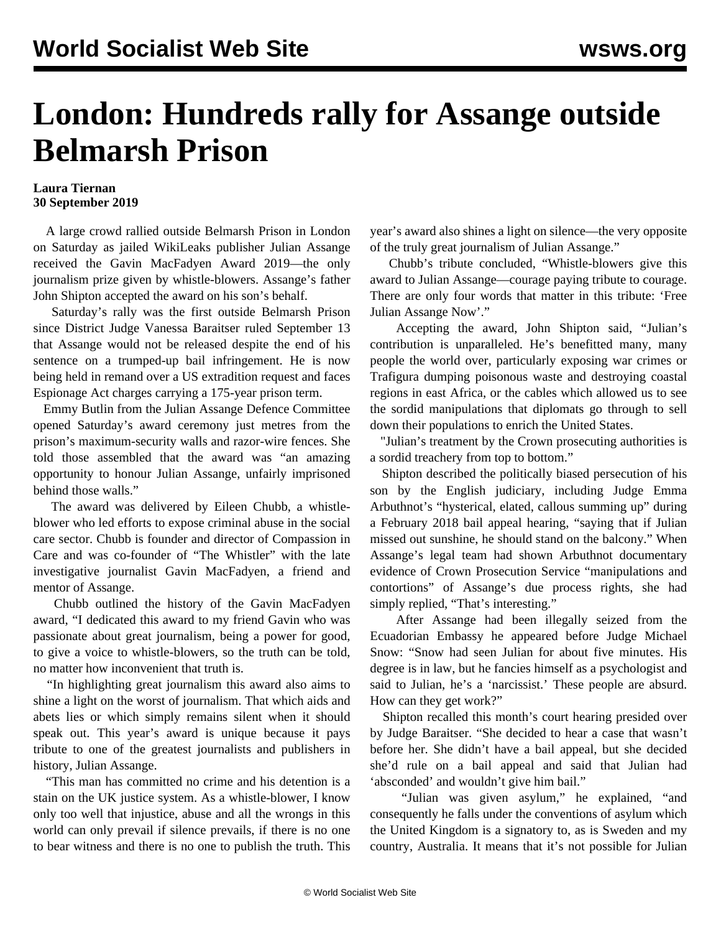## **London: Hundreds rally for Assange outside Belmarsh Prison**

## **Laura Tiernan 30 September 2019**

 A large crowd rallied outside Belmarsh Prison in London on Saturday as jailed WikiLeaks publisher Julian Assange received the Gavin MacFadyen Award 2019—the only journalism prize given by whistle-blowers. Assange's father John Shipton accepted the award on his son's behalf.

 Saturday's rally was the first outside Belmarsh Prison since District Judge Vanessa Baraitser ruled September 13 that Assange would not be released despite the end of his sentence on a trumped-up bail infringement. He is now being held in remand over a US extradition request and faces Espionage Act charges carrying a 175-year prison term.

 Emmy Butlin from the Julian Assange Defence Committee opened Saturday's award ceremony just metres from the prison's maximum-security walls and razor-wire fences. She told those assembled that the award was "an amazing opportunity to honour Julian Assange, unfairly imprisoned behind those walls."

 The award was delivered by Eileen Chubb, a whistleblower who led efforts to expose criminal abuse in the social care sector. Chubb is founder and director of Compassion in Care and was co-founder of "The Whistler" with the late investigative journalist Gavin MacFadyen, a friend and mentor of Assange.

 Chubb outlined the history of the Gavin MacFadyen award, "I dedicated this award to my friend Gavin who was passionate about great journalism, being a power for good, to give a voice to whistle-blowers, so the truth can be told, no matter how inconvenient that truth is.

 "In highlighting great journalism this award also aims to shine a light on the worst of journalism. That which aids and abets lies or which simply remains silent when it should speak out. This year's award is unique because it pays tribute to one of the greatest journalists and publishers in history, Julian Assange.

 "This man has committed no crime and his detention is a stain on the UK justice system. As a whistle-blower, I know only too well that injustice, abuse and all the wrongs in this world can only prevail if silence prevails, if there is no one to bear witness and there is no one to publish the truth. This year's award also shines a light on silence—the very opposite of the truly great journalism of Julian Assange."

 Chubb's tribute concluded, "Whistle-blowers give this award to Julian Assange—courage paying tribute to courage. There are only four words that matter in this tribute: 'Free Julian Assange Now'."

 Accepting the award, John Shipton said, "Julian's contribution is unparalleled. He's benefitted many, many people the world over, particularly exposing war crimes or Trafigura dumping poisonous waste and destroying coastal regions in east Africa, or the cables which allowed us to see the sordid manipulations that diplomats go through to sell down their populations to enrich the United States.

 "Julian's treatment by the Crown prosecuting authorities is a sordid treachery from top to bottom."

 Shipton described the politically biased persecution of his son by the English judiciary, including Judge Emma Arbuthnot's "hysterical, elated, callous summing up" during a February 2018 bail appeal hearing, "saying that if Julian missed out sunshine, he should stand on the balcony." When Assange's legal team had shown Arbuthnot documentary evidence of Crown Prosecution Service "manipulations and contortions" of Assange's due process rights, she had simply replied, "That's interesting."

 After Assange had been illegally seized from the Ecuadorian Embassy he appeared before Judge Michael Snow: "Snow had seen Julian for about five minutes. His degree is in law, but he fancies himself as a psychologist and said to Julian, he's a 'narcissist.' These people are absurd. How can they get work?"

 Shipton recalled this month's court hearing presided over by Judge Baraitser. "She decided to hear a case that wasn't before her. She didn't have a bail appeal, but she decided she'd rule on a bail appeal and said that Julian had 'absconded' and wouldn't give him bail."

 "Julian was given asylum," he explained, "and consequently he falls under the conventions of asylum which the United Kingdom is a signatory to, as is Sweden and my country, Australia. It means that it's not possible for Julian